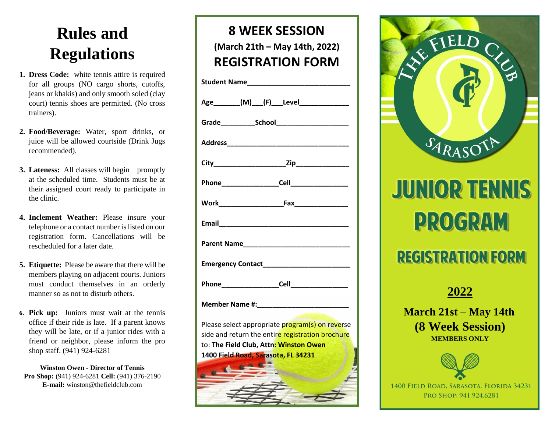# **Rules and Regulations**

- **1. Dress Code:** white tennis attire is required for all groups (NO cargo shorts, cutoffs, jeans or khakis) and only smooth soled (clay court) tennis shoes are permitted. (No cross trainers).
- **2. Food/Beverage:** Water, sport drinks, or juice will be allowed courtside (Drink Jugs recommended).
- **3. Lateness:** All classes will begin promptly at the scheduled time. Students must be at their assigned court ready to participate in the clinic.
- **4. Inclement Weather:** Please insure your telephone or a contact number is listed on our registration form. Cancellations will be rescheduled for a later date.
- **5. Etiquette:** Please be aware that there will be members playing on adjacent courts. Juniors must conduct themselves in an orderly manner so as not to disturb others.
- **6. Pick up:** Juniors must wait at the tennis office if their ride is late. If a parent knows they will be late, or if a junior rides with a friend or neighbor, please inform the pro shop staff. (941) 924-6281

**Winston Owen - Director of Tennis Pro Shop:** (941) 924-6281 **Cell:** (941) 376-2190 **E-mail:** winston@thefieldclub.com

## **8 WEEK SESSION (March 21th – May 14th, 2022) REGISTRATION FORM**

| Age________(M)___(F)___Level_______________                                                         |
|-----------------------------------------------------------------------------------------------------|
|                                                                                                     |
|                                                                                                     |
|                                                                                                     |
|                                                                                                     |
|                                                                                                     |
|                                                                                                     |
|                                                                                                     |
|                                                                                                     |
|                                                                                                     |
|                                                                                                     |
| Please select appropriate program(s) on reverse<br>cide and return the entire registration brochure |

side and return the entire registration brochure to: **The Field Club, Attn: Winston Owen 1400 Field Road, Sarasota, FL 34231**





# **JUNIOR TENNIS PROGRAM**

## **REGISTRATION FORM**



**March 21st – May 14th (8 Week Session) MEMBERS ONLY** 



1400 FIELD ROAD, SARASOTA, FLORIDA 34231 PRO SHOP: 941.924.6281